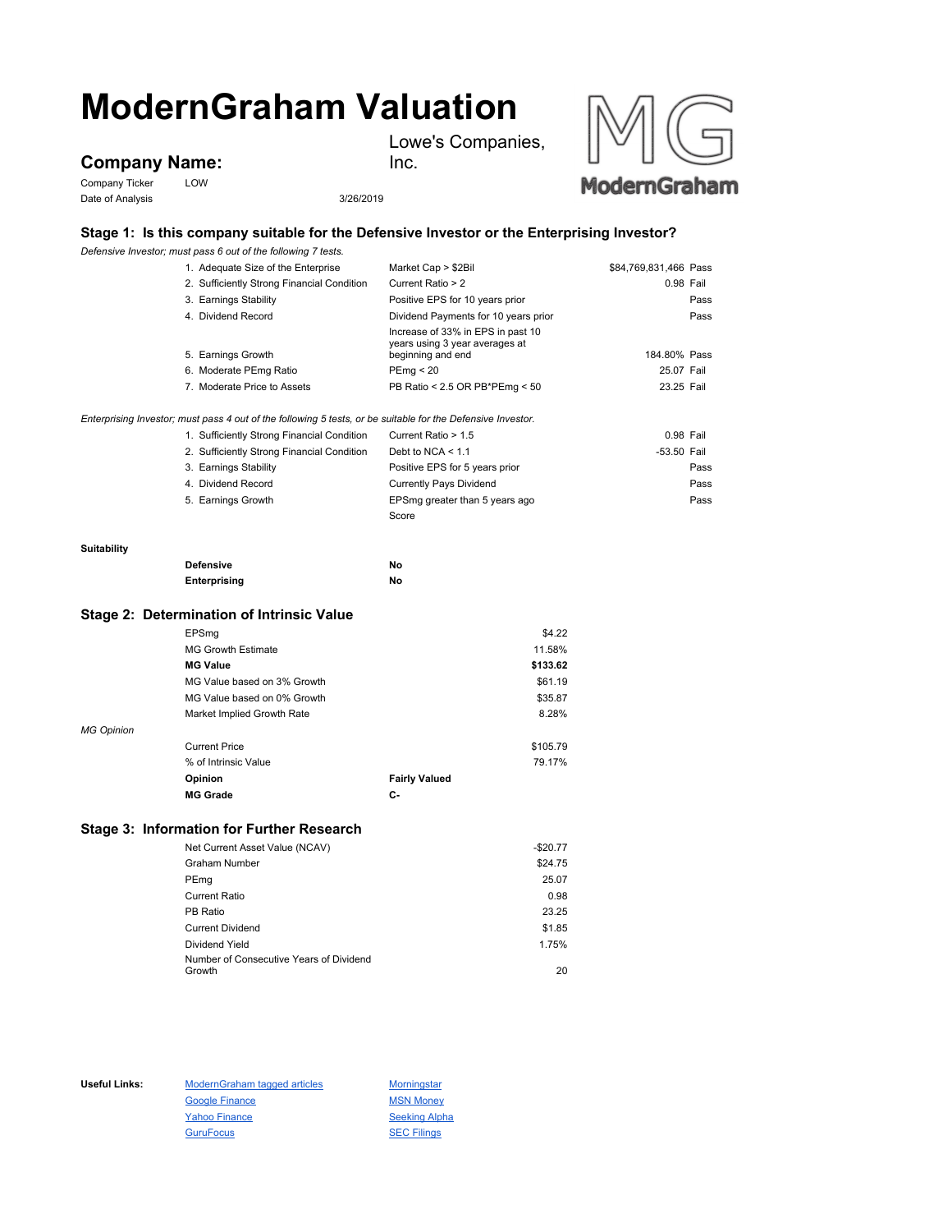# **ModernGraham Valuation**

Lowe's Companies,

# **Company Name:**

Company Ticker LOW Date of Analysis 3/26/2019



# **Stage 1: Is this company suitable for the Defensive Investor or the Enterprising Investor?**

Inc.

*Defensive Investor; must pass 6 out of the following 7 tests.*

|             | 1. Adequate Size of the Enterprise                                                                          | Market Cap > \$2Bil                                                 | \$84,769,831,466 Pass |           |
|-------------|-------------------------------------------------------------------------------------------------------------|---------------------------------------------------------------------|-----------------------|-----------|
|             | 2. Sufficiently Strong Financial Condition                                                                  | Current Ratio > 2                                                   |                       | 0.98 Fail |
|             | 3. Earnings Stability                                                                                       | Positive EPS for 10 years prior                                     |                       | Pass      |
|             | 4. Dividend Record                                                                                          | Dividend Payments for 10 years prior                                |                       | Pass      |
|             |                                                                                                             | Increase of 33% in EPS in past 10<br>years using 3 year averages at | 184.80% Pass          |           |
|             | 5. Earnings Growth                                                                                          | beginning and end                                                   |                       |           |
|             | 6. Moderate PEmg Ratio                                                                                      | PEmg < 20                                                           | 25.07 Fail            |           |
|             | 7. Moderate Price to Assets                                                                                 | PB Ratio < 2.5 OR PB*PEmg < 50                                      | 23.25 Fail            |           |
|             | Enterprising Investor; must pass 4 out of the following 5 tests, or be suitable for the Defensive Investor. |                                                                     |                       |           |
|             | 1. Sufficiently Strong Financial Condition                                                                  | Current Ratio > 1.5                                                 | 0.98 Fail             |           |
|             | 2. Sufficiently Strong Financial Condition                                                                  | Debt to NCA $<$ 1.1                                                 | -53.50 Fail           |           |
|             | 3. Earnings Stability                                                                                       | Positive EPS for 5 years prior                                      |                       | Pass      |
|             | 4. Dividend Record                                                                                          | <b>Currently Pays Dividend</b>                                      |                       | Pass      |
|             | 5. Earnings Growth                                                                                          | EPSmg greater than 5 years ago                                      |                       | Pass      |
|             |                                                                                                             | Score                                                               |                       |           |
| Suitability |                                                                                                             |                                                                     |                       |           |
|             | <b>Defensive</b>                                                                                            | No                                                                  |                       |           |
|             | Enterprising                                                                                                | No                                                                  |                       |           |
|             | Stage 2: Determination of Intrinsic Value                                                                   |                                                                     |                       |           |
|             | EPSmg                                                                                                       | \$4.22                                                              |                       |           |
|             | <b>MG Growth Estimate</b>                                                                                   | 11.58%                                                              |                       |           |

|                   | <b>MG Value</b>             |                      | \$133.62 |
|-------------------|-----------------------------|----------------------|----------|
|                   | MG Value based on 3% Growth |                      | \$61.19  |
|                   | MG Value based on 0% Growth |                      | \$35.87  |
|                   | Market Implied Growth Rate  |                      | 8.28%    |
| <b>MG Opinion</b> |                             |                      |          |
|                   | <b>Current Price</b>        |                      | \$105.79 |
|                   | % of Intrinsic Value        |                      | 79.17%   |
|                   | Opinion                     | <b>Fairly Valued</b> |          |
|                   | <b>MG Grade</b>             | С-                   |          |

### **Stage 3: Information for Further Research**

| Net Current Asset Value (NCAV)          | $-$20.77$ |
|-----------------------------------------|-----------|
| <b>Graham Number</b>                    | \$24.75   |
| PEmg                                    | 25.07     |
| <b>Current Ratio</b>                    | 0.98      |
| PB Ratio                                | 23.25     |
| <b>Current Dividend</b>                 | \$1.85    |
| Dividend Yield                          | 1.75%     |
| Number of Consecutive Years of Dividend |           |
| Growth                                  | 20        |

Useful Links: ModernGraham tagged articles Morningstar Google Finance MSN Money Yahoo Finance Seeking Alpha GuruFocus **SEC Filings**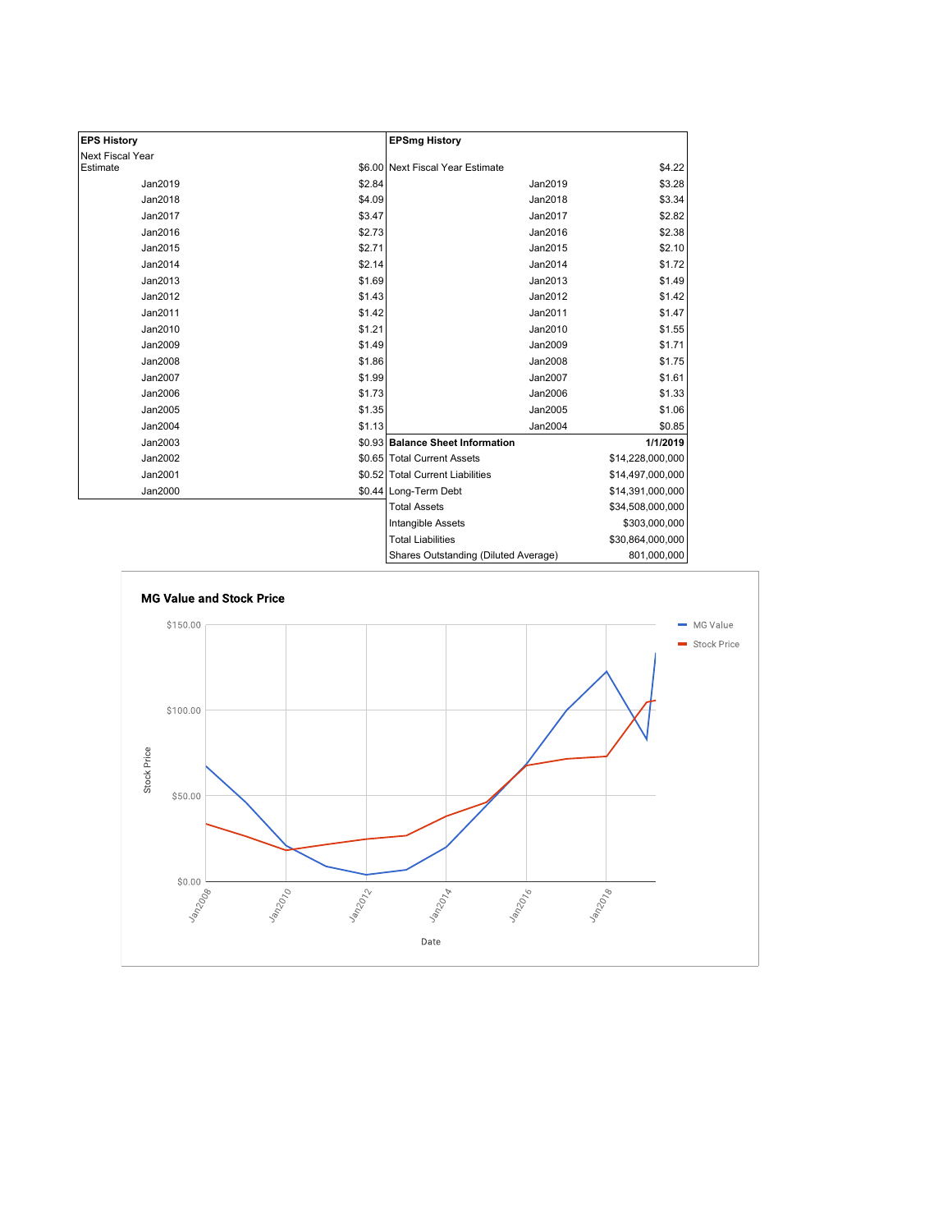| <b>EPS History</b> |        | <b>EPSmg History</b>                 |                  |
|--------------------|--------|--------------------------------------|------------------|
| Next Fiscal Year   |        |                                      |                  |
| Estimate           |        | \$6.00 Next Fiscal Year Estimate     | \$4.22           |
| Jan2019            | \$2.84 | Jan2019                              | \$3.28           |
| Jan2018            | \$4.09 | Jan2018                              | \$3.34           |
| Jan2017            | \$3.47 | Jan2017                              | \$2.82           |
| Jan2016            | \$2.73 | Jan2016                              | \$2.38           |
| Jan2015            | \$2.71 | Jan2015                              | \$2.10           |
| Jan2014            | \$2.14 | Jan2014                              | \$1.72           |
| Jan2013            | \$1.69 | Jan2013                              | \$1.49           |
| Jan2012            | \$1.43 | Jan2012                              | \$1.42           |
| Jan2011            | \$1.42 | Jan2011                              | \$1.47           |
| Jan2010            | \$1.21 | Jan2010                              | \$1.55           |
| Jan2009            | \$1.49 | Jan2009                              | \$1.71           |
| Jan2008            | \$1.86 | Jan2008                              | \$1.75           |
| Jan2007            | \$1.99 | Jan2007                              | \$1.61           |
| Jan2006            | \$1.73 | Jan2006                              | \$1.33           |
| Jan2005            | \$1.35 | Jan2005                              | \$1.06           |
| Jan2004            | \$1.13 | Jan2004                              | \$0.85           |
| Jan2003            |        | \$0.93 Balance Sheet Information     | 1/1/2019         |
| Jan2002            |        | \$0.65 Total Current Assets          | \$14,228,000,000 |
| Jan2001            |        | \$0.52 Total Current Liabilities     | \$14,497,000,000 |
| Jan2000            |        | \$0.44 Long-Term Debt                | \$14,391,000,000 |
|                    |        | <b>Total Assets</b>                  | \$34,508,000,000 |
|                    |        | Intangible Assets                    | \$303,000,000    |
|                    |        | <b>Total Liabilities</b>             | \$30,864,000,000 |
|                    |        | Shares Outstanding (Diluted Average) | 801,000,000      |